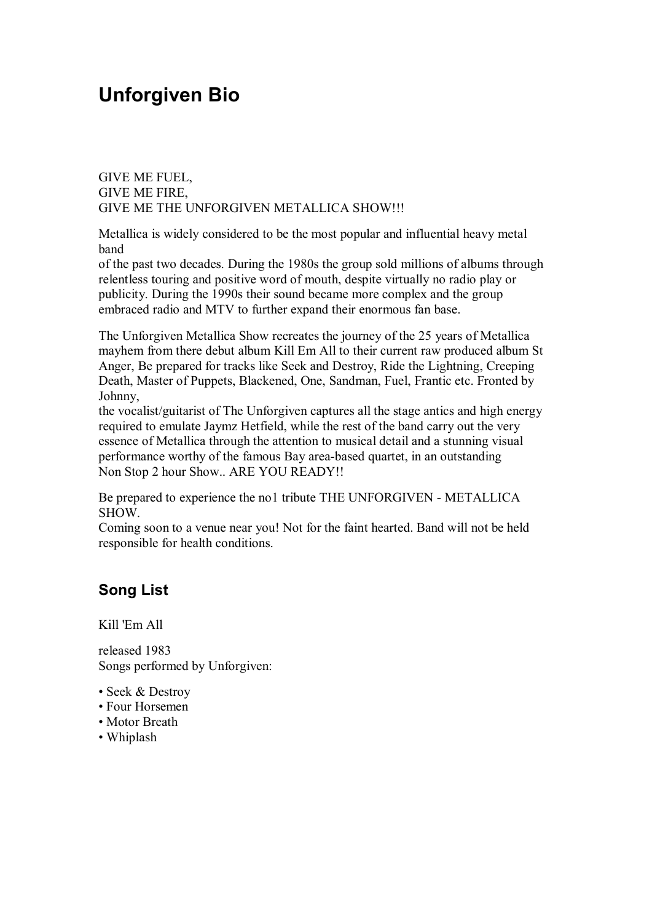## **Unforgiven Bio**

GIVE ME FUEL, GIVE ME FIRE, GIVE ME THE UNFORGIVEN METALLICA SHOW!!!

Metallica is widely considered to be the most popular and influential heavy metal band

of the past two decades. During the 1980s the group sold millions of albums through relentless touring and positive word of mouth, despite virtually no radio play or publicity. During the 1990s their sound became more complex and the group embraced radio and MTV to further expand their enormous fan base.

The Unforgiven Metallica Show recreates the journey of the 25 years of Metallica mayhem from there debut album Kill Em All to their current raw produced album St Anger, Be prepared for tracks like Seek and Destroy, Ride the Lightning, Creeping Death, Master of Puppets, Blackened, One, Sandman, Fuel, Frantic etc. Fronted by Johnny,

the vocalist/guitarist of The Unforgiven captures all the stage antics and high energy required to emulate Jaymz Hetfield, while the rest of the band carry out the very essence of Metallica through the attention to musical detail and a stunning visual performance worthy of the famous Bay area-based quartet, in an outstanding Non Stop 2 hour Show.. ARE YOU READY!!

Be prepared to experience the no1 tribute THE UNFORGIVEN - METALLICA SHOW.

Coming soon to a venue near you! Not for the faint hearted. Band will not be held responsible for health conditions.

## **Song List**

Kill 'Em All

released 1983 Songs performed by Unforgiven:

- Seek & Destroy
- Four Horsemen
- Motor Breath
- Whiplash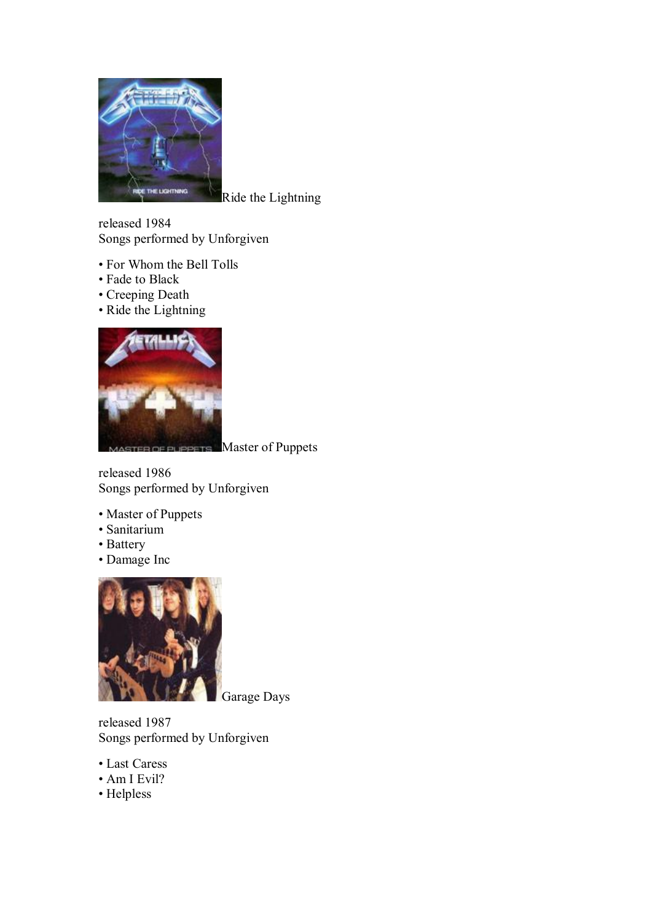

Ride the Lightning

released 1984 Songs performed by Unforgiven

- For Whom the Bell Tolls
- Fade to Black
- Creeping Death
- Ride the Lightning



**PUPPETS** Master of Puppets

released 1986 Songs performed by Unforgiven

- Master of Puppets
- Sanitarium
- Battery
- Damage Inc



Garage Days

released 1987 Songs performed by Unforgiven

- Last Caress
- Am I Evil?
- Helpless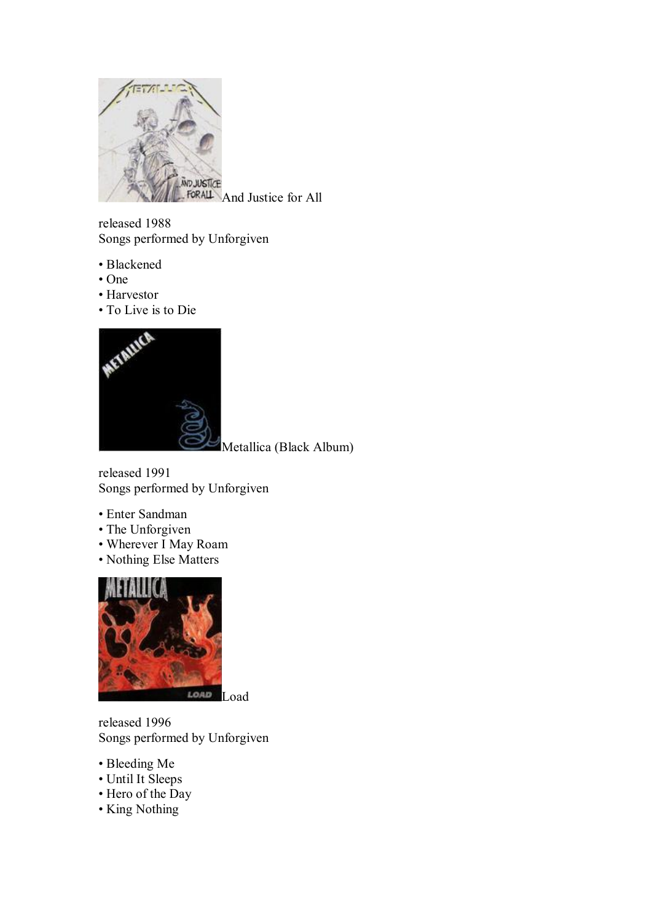

FORALL And Justice for All

released 1988 Songs performed by Unforgiven

- Blackened
- One
- Harvestor
- To Live is to Die



Metallica (Black Album)

released 1991 Songs performed by Unforgiven

- Enter Sandman
- The Unforgiven
- Wherever I May Roam
- Nothing Else Matters



released 1996 Songs performed by Unforgiven

- Bleeding Me
- Until It Sleeps
- Hero of the Day
- King Nothing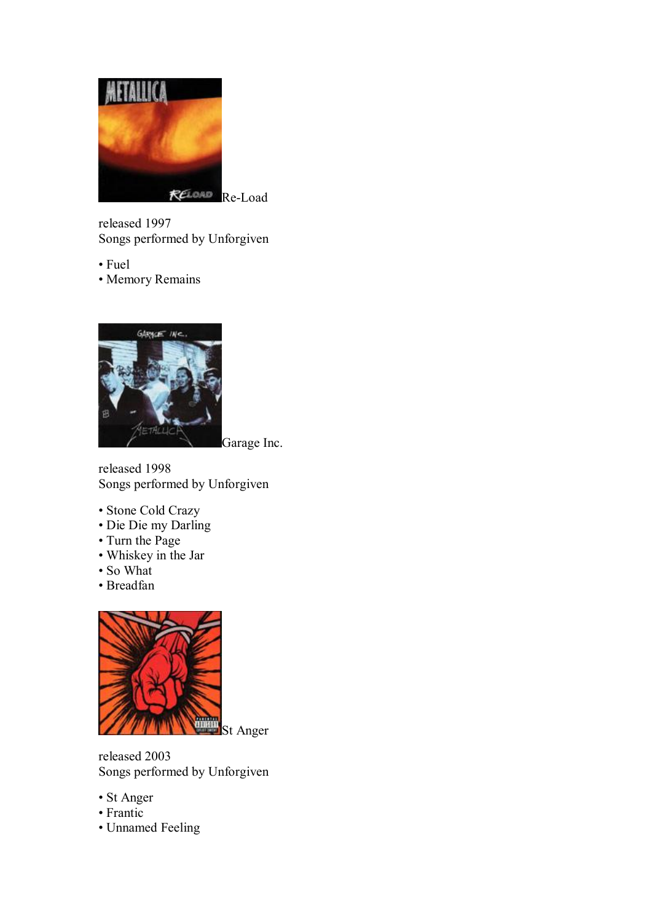

released 1997 Songs performed by Unforgiven

• Fuel

• Memory Remains



Garage Inc.

released 1998 Songs performed by Unforgiven

- Stone Cold Crazy
- Die Die my Darling
- Turn the Page
- Whiskey in the Jar
- So What
- Breadfan



released 2003 Songs performed by Unforgiven

- St Anger
- Frantic
- Unnamed Feeling